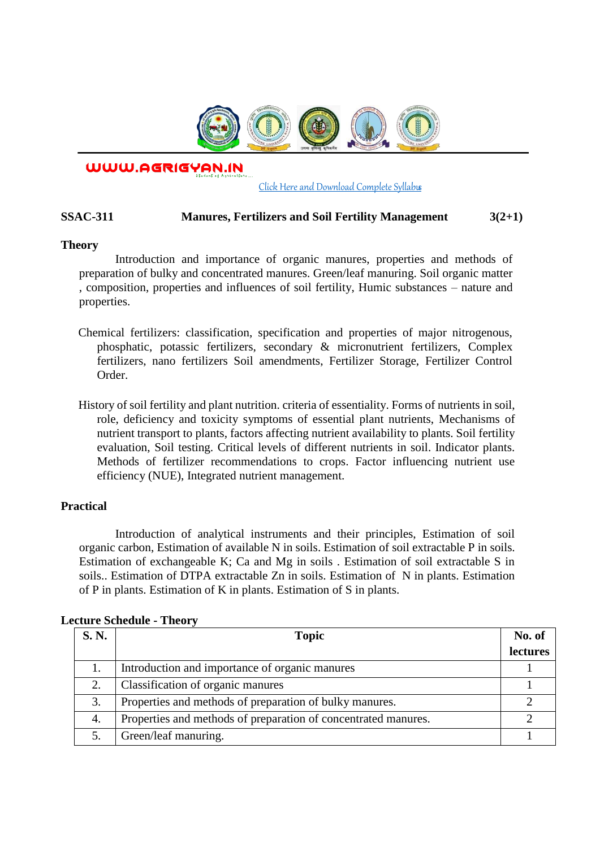

WWW.AGRIGYAN.IN

#### [Click Here and Download Complete Syllabus](http://agrigyan.in/)

# **SSAC-311 Manures, Fertilizers and Soil Fertility Management 3(2+1)**

#### **Theory**

 $\overline{a}$ 

Introduction and importance of organic manures, properties and methods of preparation of bulky and concentrated manures. Green/leaf manuring. Soil organic matter , composition, properties and influences of soil fertility, Humic substances – nature and properties.

- Chemical fertilizers: classification, specification and properties of major nitrogenous, phosphatic, potassic fertilizers, secondary & micronutrient fertilizers, Complex fertilizers, nano fertilizers Soil amendments, Fertilizer Storage, Fertilizer Control Order.
- History of soil fertility and plant nutrition. criteria of essentiality. Forms of nutrients in soil, role, deficiency and toxicity symptoms of essential plant nutrients, Mechanisms of nutrient transport to plants, factors affecting nutrient availability to plants. Soil fertility evaluation, Soil testing. Critical levels of different nutrients in soil. Indicator plants. Methods of fertilizer recommendations to crops. Factor influencing nutrient use efficiency (NUE), Integrated nutrient management.

### **Practical**

Introduction of analytical instruments and their principles, Estimation of soil organic carbon, Estimation of available N in soils. Estimation of soil extractable P in soils. Estimation of exchangeable K; Ca and Mg in soils . Estimation of soil extractable S in soils.. Estimation of DTPA extractable Zn in soils. Estimation of N in plants. Estimation of P in plants. Estimation of K in plants. Estimation of S in plants.

| <b>S. N.</b> | <b>Topic</b>                                                   | No. of          |
|--------------|----------------------------------------------------------------|-----------------|
|              |                                                                | <b>lectures</b> |
|              | Introduction and importance of organic manures                 |                 |
| 2.           | Classification of organic manures                              |                 |
| 3.           | Properties and methods of preparation of bulky manures.        |                 |
| 4.           | Properties and methods of preparation of concentrated manures. |                 |
|              | Green/leaf manuring.                                           |                 |

# **Lecture Schedule - Theory**